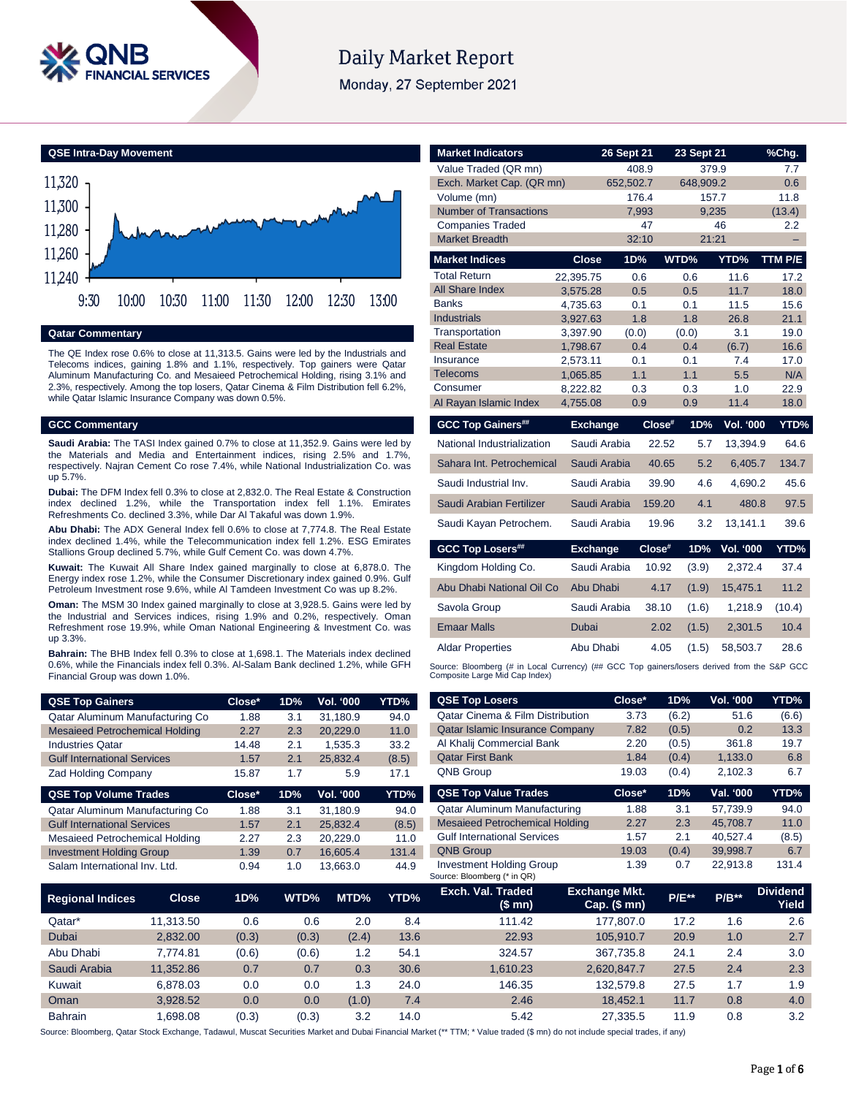

# **Daily Market Report**

Monday, 27 September 2021

**QSE Intra-Day Movement**



# **Qatar Commentary**

The QE Index rose 0.6% to close at 11,313.5. Gains were led by the Industrials and Telecoms indices, gaining 1.8% and 1.1%, respectively. Top gainers were Qatar Aluminum Manufacturing Co. and Mesaieed Petrochemical Holding, rising 3.1% and 2.3%, respectively. Among the top losers, Qatar Cinema & Film Distribution fell 6.2%, while Qatar Islamic Insurance Company was down 0.5%.

### **GCC Commentary**

**Saudi Arabia:** The TASI Index gained 0.7% to close at 11,352.9. Gains were led by the Materials and Media and Entertainment indices, rising 2.5% and 1.7%, respectively. Najran Cement Co rose 7.4%, while National Industrialization Co. was up 5.7%.

**Dubai:** The DFM Index fell 0.3% to close at 2,832.0. The Real Estate & Construction index declined 1.2%, while the Transportation index fell 1.1%. Emirates Refreshments Co. declined 3.3%, while Dar Al Takaful was down 1.9%.

**Abu Dhabi:** The ADX General Index fell 0.6% to close at 7,774.8. The Real Estate index declined 1.4%, while the Telecommunication index fell 1.2%. ESG Emirates Stallions Group declined 5.7%, while Gulf Cement Co. was down 4.7%.

**Kuwait:** The Kuwait All Share Index gained marginally to close at 6,878.0. The Energy index rose 1.2%, while the Consumer Discretionary index gained 0.9%. Gulf Petroleum Investment rose 9.6%, while Al Tamdeen Investment Co was up 8.2%.

**Oman:** The MSM 30 Index gained marginally to close at 3,928.5. Gains were led by the Industrial and Services indices, rising 1.9% and 0.2%, respectively. Oman Refreshment rose 19.9%, while Oman National Engineering & Investment Co. was up 3.3%.

**Bahrain:** The BHB Index fell 0.3% to close at 1,698.1. The Materials index declined 0.6%, while the Financials index fell 0.3%. Al-Salam Bank declined 1.2%, while GFH Financial Group was down 1.0%.

| <b>QSE Top Gainers</b>                | Close* | 1D% | Vol. '000 | YTD%  |
|---------------------------------------|--------|-----|-----------|-------|
| Qatar Aluminum Manufacturing Co       | 1.88   | 3.1 | 31.180.9  | 94.0  |
| <b>Mesaieed Petrochemical Holding</b> | 2.27   | 2.3 | 20,229.0  | 11.0  |
| <b>Industries Qatar</b>               | 14.48  | 2.1 | 1,535.3   | 33.2  |
| <b>Gulf International Services</b>    | 1.57   | 2.1 | 25,832.4  | (8.5) |
| <b>Zad Holding Company</b>            | 15.87  | 1.7 | 5.9       | 17.1  |
| <b>QSE Top Volume Trades</b>          | Close* | 1D% | Vol. '000 | YTD%  |
| Qatar Aluminum Manufacturing Co       | 1.88   | 3.1 | 31,180.9  | 94.0  |
| <b>Gulf International Services</b>    | 1.57   | 2.1 | 25,832.4  | (8.5) |
| Mesaieed Petrochemical Holding        | 2.27   | 2.3 | 20,229.0  | 11.0  |

| <b>Market Indicators</b>                                                                    |                  | 26 Sept 21 |        | 23 Sept 21 |                  | %Chg.   |
|---------------------------------------------------------------------------------------------|------------------|------------|--------|------------|------------------|---------|
| Value Traded (QR mn)                                                                        |                  | 408.9      |        | 379.9      |                  | 7.7     |
| Exch. Market Cap. (QR mn)                                                                   |                  | 652,502.7  |        | 648,909.2  |                  | 0.6     |
| Volume (mn)                                                                                 |                  | 176.4      |        | 157.7      |                  | 11.8    |
| <b>Number of Transactions</b>                                                               |                  | 7,993      |        | 9.235      |                  | (13.4)  |
| <b>Companies Traded</b>                                                                     |                  |            | 47     |            | 46               | 2.2     |
| <b>Market Breadth</b>                                                                       |                  | 32:10      |        | 21:21      |                  |         |
| <b>Market Indices</b>                                                                       | <b>Close</b>     | 1D%        |        | WTD%       | YTD%             | TTM P/E |
| <b>Total Return</b>                                                                         | 22,395.75        | 0.6        |        | 0.6        | 11.6             | 17.2    |
| All Share Index                                                                             | 3,575.28         | 0.5        |        | 0.5        | 11.7             | 18.0    |
| <b>Banks</b>                                                                                | 4,735.63         | 0.1        |        | 0.1        | 11.5             | 15.6    |
| <b>Industrials</b>                                                                          | 3,927.63         | 1.8        |        | 1.8        | 26.8             | 21.1    |
| Transportation                                                                              | 3,397.90         | (0.0)      |        | (0.0)      | 3.1              | 19.0    |
| <b>Real Estate</b>                                                                          | 1,798.67         | 0.4        |        | 0.4        | (6.7)            | 16.6    |
| Insurance                                                                                   | 2,573.11         | 0.1        |        | 0.1        | 7.4              | 17.0    |
| Telecoms                                                                                    | 1,065.85         | 1.1        |        | 1.1        | 5.5              | N/A     |
| Consumer                                                                                    | 8,222.82         | 0.3        |        | 0.3        | 1.0              | 22.9    |
| Al Rayan Islamic Index                                                                      | 4,755.08         | 0.9        |        | 0.9        | 11.4             | 18.0    |
| <b>GCC Top Gainers##</b>                                                                    | <b>Exchange</b>  |            | Close# | 1D%        | <b>Vol. '000</b> | YTD%    |
| National Industrialization                                                                  | Saudi Arabia     |            | 22.52  | 5.7        | 13,394.9         | 64.6    |
| Sahara Int. Petrochemical                                                                   | Saudi Arabia     |            | 40.65  | 5.2        | 6,405.7          | 134.7   |
| Saudi Industrial Inv.                                                                       | Saudi Arabia     |            | 39.90  | 4.6        | 4,690.2          | 45.6    |
| Saudi Arabian Fertilizer                                                                    | Saudi Arabia     |            | 159.20 | 4.1        | 480.8            | 97.5    |
| Saudi Kayan Petrochem.                                                                      | Saudi Arabia     |            | 19.96  | 3.2        | 13,141.1         | 39.6    |
| <b>GCC Top Losers##</b>                                                                     | <b>Exchange</b>  |            | Close# | 1D%        | <b>Vol. '000</b> | YTD%    |
| Kingdom Holding Co.                                                                         | Saudi Arabia     |            | 10.92  | (3.9)      | 2,372.4          | 37.4    |
| Abu Dhabi National Oil Co                                                                   | <b>Abu Dhabi</b> |            | 4.17   | (1.9)      | 15,475.1         | 11.2    |
| Savola Group                                                                                | Saudi Arabia     |            | 38.10  | (1.6)      | 1.218.9          | (10.4)  |
| <b>Emaar Malls</b>                                                                          | Dubai            |            | 2.02   | (1.5)      | 2,301.5          | 10.4    |
| <b>Aldar Properties</b>                                                                     | Abu Dhabi        |            | 4.05   | (1.5)      | 58,503.7         | 28.6    |
| Source: Bloomberg (# in Local Currency) (## GCC Top gainers/losers derived from the S&P GCC |                  |            |        |            |                  |         |

Composite Large Mid Cap Index)

| <b>QSE Top Gainers</b>                |              | Close* | 1D%   | <b>Vol. '000</b> | YTD%  | <b>QSE Top Losers</b>                                          | Close*                               | 1D%     | Vol. '000 | YTD%                     |
|---------------------------------------|--------------|--------|-------|------------------|-------|----------------------------------------------------------------|--------------------------------------|---------|-----------|--------------------------|
| Qatar Aluminum Manufacturing Co       |              | 1.88   | 3.1   | 31,180.9         | 94.0  | <b>Qatar Cinema &amp; Film Distribution</b>                    |                                      | (6.2)   | 51.6      | (6.6)                    |
| <b>Mesaieed Petrochemical Holding</b> |              | 2.27   | 2.3   | 20,229.0         | 11.0  | Qatar Islamic Insurance Company                                | 7.82                                 | (0.5)   | 0.2       | 13.3                     |
| <b>Industries Qatar</b>               |              | 14.48  | 2.1   | 1,535.3          | 33.2  | Al Khalij Commercial Bank                                      | 2.20                                 | (0.5)   | 361.8     | 19.7                     |
| <b>Gulf International Services</b>    |              | 1.57   | 2.1   | 25,832.4         | (8.5) | <b>Qatar First Bank</b>                                        | 1.84                                 | (0.4)   | 1,133.0   | 6.8                      |
| Zad Holding Company                   |              | 15.87  | 1.7   | 5.9              | 17.1  | <b>QNB Group</b>                                               | 19.03                                | (0.4)   | 2,102.3   | 6.7                      |
| <b>QSE Top Volume Trades</b>          |              | Close* | 1D%   | <b>Vol. '000</b> | YTD%  | <b>QSE Top Value Trades</b>                                    | Close*                               | 1D%     | Val. '000 | YTD%                     |
| Qatar Aluminum Manufacturing Co       |              | 1.88   | 3.1   | 31,180.9         | 94.0  | Qatar Aluminum Manufacturing                                   | 1.88                                 | 3.1     | 57,739.9  | 94.0                     |
| <b>Gulf International Services</b>    |              | 1.57   | 2.1   | 25,832.4         | (8.5) | <b>Mesaieed Petrochemical Holding</b>                          | 2.27                                 | 2.3     | 45,708.7  | 11.0                     |
| Mesaieed Petrochemical Holding        |              | 2.27   | 2.3   | 20,229.0         | 11.0  | <b>Gulf International Services</b>                             | 1.57                                 | 2.1     | 40,527.4  | (8.5)                    |
| <b>Investment Holding Group</b>       |              | 1.39   | 0.7   | 16,605.4         | 131.4 | <b>QNB Group</b>                                               | 19.03                                | (0.4)   | 39,998.7  | 6.7                      |
| Salam International Inv. Ltd.         |              | 0.94   | 1.0   | 13,663.0         | 44.9  | <b>Investment Holding Group</b><br>Source: Bloomberg (* in QR) | 1.39                                 | 0.7     | 22,913.8  | 131.4                    |
| <b>Regional Indices</b>               | <b>Close</b> | 1D%    | WTD%  | MTD%             | YTD%  | Exch. Val. Traded<br>(\$mn)                                    | <b>Exchange Mkt.</b><br>Cap. $($mn)$ | $P/E**$ | $P/B**$   | <b>Dividend</b><br>Yield |
| Qatar*                                | 11,313.50    | 0.6    | 0.6   | 2.0              | 8.4   | 111.42                                                         | 177,807.0                            | 17.2    | 1.6       | 2.6                      |
| Dubai                                 | 2,832.00     | (0.3)  | (0.3) | (2.4)            | 13.6  | 22.93                                                          | 105,910.7                            | 20.9    | 1.0       | 2.7                      |
| Abu Dhabi                             | 7,774.81     | (0.6)  | (0.6) | 1.2              | 54.1  | 324.57                                                         | 367,735.8                            | 24.1    | 2.4       | 3.0                      |
| Saudi Arabia                          | 11,352.86    | 0.7    | 0.7   | 0.3              | 30.6  | 1,610.23                                                       | 2,620,847.7                          | 27.5    | 2.4       | 2.3                      |
| Kuwait                                | 6,878.03     | 0.0    | 0.0   | 1.3              | 24.0  | 146.35                                                         | 132,579.8                            | 27.5    | 1.7       | 1.9                      |
| Oman                                  | 3,928.52     | 0.0    | 0.0   | (1.0)            | 7.4   | 2.46                                                           | 18,452.1                             | 11.7    | 0.8       | 4.0                      |
|                                       |              |        |       |                  |       |                                                                |                                      |         |           |                          |

Source: Bloomberg, Qatar Stock Exchange, Tadawul, Muscat Securities Market and Dubai Financial Market (\*\* TTM; \* Value traded (\$ mn) do not include special trades, if any)

Bahrain 1,698.08 (0.3) (0.3) 3.2 14.0 5.42 27,335.5 11.9 0.8 3.2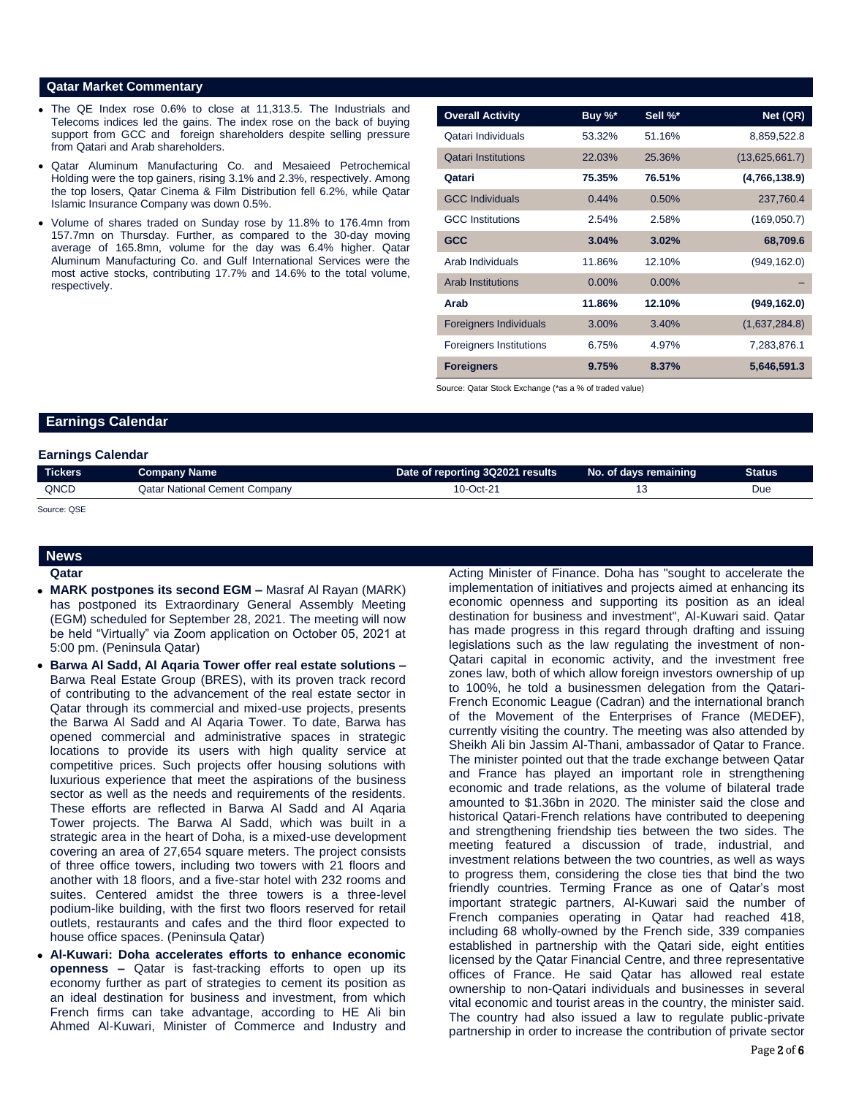# **Qatar Market Commentary**

- The QE Index rose 0.6% to close at 11,313.5. The Industrials and Telecoms indices led the gains. The index rose on the back of buying support from GCC and foreign shareholders despite selling pressure from Qatari and Arab shareholders.
- Qatar Aluminum Manufacturing Co. and Mesaieed Petrochemical Holding were the top gainers, rising 3.1% and 2.3%, respectively. Among the top losers, Qatar Cinema & Film Distribution fell 6.2%, while Qatar Islamic Insurance Company was down 0.5%.
- Volume of shares traded on Sunday rose by 11.8% to 176.4mn from 157.7mn on Thursday. Further, as compared to the 30-day moving average of 165.8mn, volume for the day was 6.4% higher. Qatar Aluminum Manufacturing Co. and Gulf International Services were the most active stocks, contributing 17.7% and 14.6% to the total volume, respectively.

| <b>Overall Activity</b>        | Buy %*   | Sell %*  | Net (QR)       |
|--------------------------------|----------|----------|----------------|
| Qatari Individuals             | 53.32%   | 51.16%   | 8,859,522.8    |
| <b>Qatari Institutions</b>     | 22.03%   | 25.36%   | (13,625,661.7) |
| Qatari                         | 75.35%   | 76.51%   | (4,766,138.9)  |
| <b>GCC Individuals</b>         | 0.44%    | 0.50%    | 237,760.4      |
| <b>GCC</b> Institutions        | 2.54%    | 2.58%    | (169, 050.7)   |
| <b>GCC</b>                     | 3.04%    | 3.02%    | 68,709.6       |
| Arab Individuals               | 11.86%   | 12.10%   | (949, 162.0)   |
| <b>Arab Institutions</b>       | $0.00\%$ | $0.00\%$ |                |
| Arab                           | 11.86%   | 12.10%   | (949, 162.0)   |
| <b>Foreigners Individuals</b>  | $3.00\%$ | 3.40%    | (1,637,284.8)  |
| <b>Foreigners Institutions</b> | 6.75%    | 4.97%    | 7,283,876.1    |
| <b>Foreigners</b>              | 9.75%    | 8.37%    | 5,646,591.3    |

Source: Qatar Stock Exchange (\*as a % of traded value)

# **Earnings Calendar**

# **Earnings Calendar**

| Tickers | <b>Company Name</b>                  | Date of reporting 3Q2021 results | No. of days remaining | <b>Status</b> |
|---------|--------------------------------------|----------------------------------|-----------------------|---------------|
| QNCD    | <b>Qatar National Cement Company</b> | 10-Oct-21                        |                       | Due           |
|         |                                      |                                  |                       |               |

Source: QSE

# **News**

**Qatar** 

- **MARK postpones its second EGM –** Masraf Al Rayan (MARK) has postponed its Extraordinary General Assembly Meeting (EGM) scheduled for September 28, 2021. The meeting will now be held "Virtually" via Zoom application on October 05, 2021 at 5:00 pm. (Peninsula Qatar)
- **Barwa Al Sadd, Al Aqaria Tower offer real estate solutions –** Barwa Real Estate Group (BRES), with its proven track record of contributing to the advancement of the real estate sector in Qatar through its commercial and mixed-use projects, presents the Barwa Al Sadd and Al Aqaria Tower. To date, Barwa has opened commercial and administrative spaces in strategic locations to provide its users with high quality service at competitive prices. Such projects offer housing solutions with luxurious experience that meet the aspirations of the business sector as well as the needs and requirements of the residents. These efforts are reflected in Barwa Al Sadd and Al Aqaria Tower projects. The Barwa Al Sadd, which was built in a strategic area in the heart of Doha, is a mixed-use development covering an area of 27,654 square meters. The project consists of three office towers, including two towers with 21 floors and another with 18 floors, and a five-star hotel with 232 rooms and suites. Centered amidst the three towers is a three-level podium-like building, with the first two floors reserved for retail outlets, restaurants and cafes and the third floor expected to house office spaces. (Peninsula Qatar)
- **Al-Kuwari: Doha accelerates efforts to enhance economic openness –** Qatar is fast-tracking efforts to open up its economy further as part of strategies to cement its position as an ideal destination for business and investment, from which French firms can take advantage, according to HE Ali bin Ahmed Al-Kuwari, Minister of Commerce and Industry and

Acting Minister of Finance. Doha has "sought to accelerate the implementation of initiatives and projects aimed at enhancing its economic openness and supporting its position as an ideal destination for business and investment", Al-Kuwari said. Qatar has made progress in this regard through drafting and issuing legislations such as the law regulating the investment of non-Qatari capital in economic activity, and the investment free zones law, both of which allow foreign investors ownership of up to 100%, he told a businessmen delegation from the Qatari-French Economic League (Cadran) and the international branch of the Movement of the Enterprises of France (MEDEF), currently visiting the country. The meeting was also attended by Sheikh Ali bin Jassim Al-Thani, ambassador of Qatar to France. The minister pointed out that the trade exchange between Qatar and France has played an important role in strengthening economic and trade relations, as the volume of bilateral trade amounted to \$1.36bn in 2020. The minister said the close and historical Qatari-French relations have contributed to deepening and strengthening friendship ties between the two sides. The meeting featured a discussion of trade, industrial, and investment relations between the two countries, as well as ways to progress them, considering the close ties that bind the two friendly countries. Terming France as one of Qatar's most important strategic partners, Al-Kuwari said the number of French companies operating in Qatar had reached 418, including 68 wholly-owned by the French side, 339 companies established in partnership with the Qatari side, eight entities licensed by the Qatar Financial Centre, and three representative offices of France. He said Qatar has allowed real estate ownership to non-Qatari individuals and businesses in several vital economic and tourist areas in the country, the minister said. The country had also issued a law to regulate public-private partnership in order to increase the contribution of private sector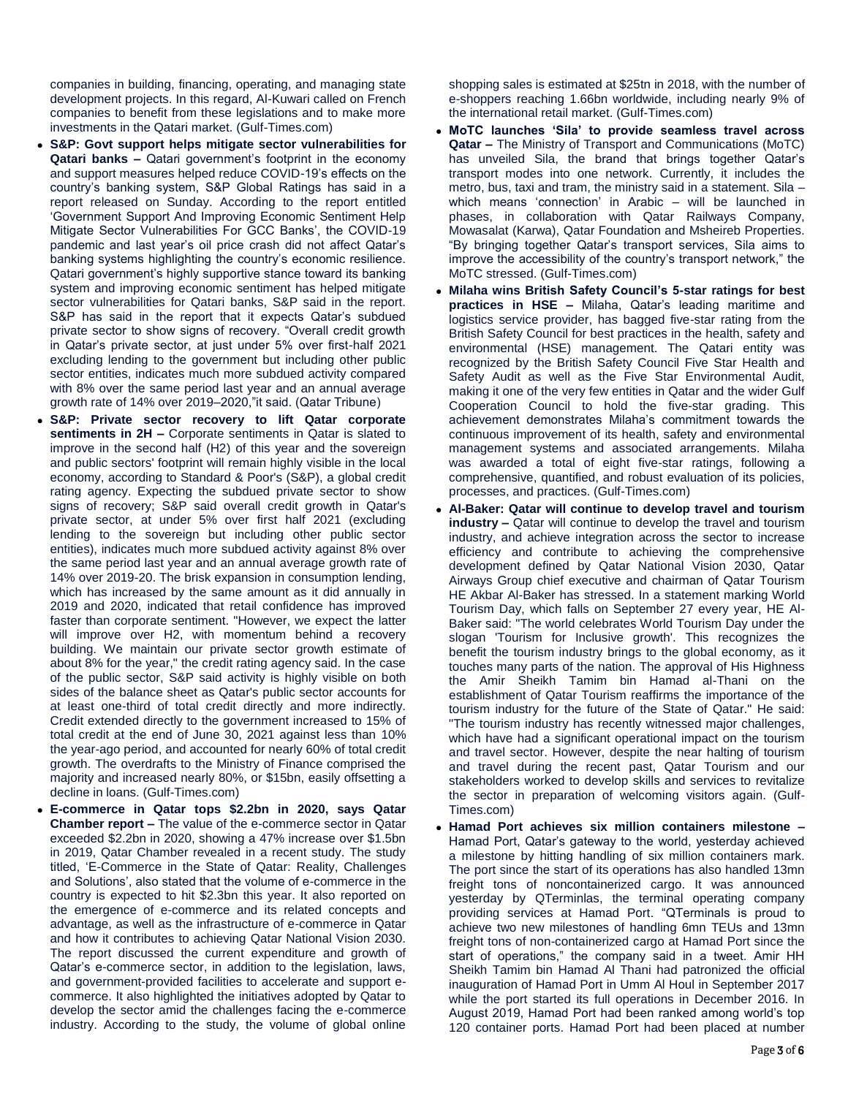companies in building, financing, operating, and managing state development projects. In this regard, Al-Kuwari called on French companies to benefit from these legislations and to make more investments in the Qatari market. (Gulf-Times.com)

- **S&P: Govt support helps mitigate sector vulnerabilities for Qatari banks –** Qatari government's footprint in the economy and support measures helped reduce COVID-19's effects on the country's banking system, S&P Global Ratings has said in a report released on Sunday. According to the report entitled 'Government Support And Improving Economic Sentiment Help Mitigate Sector Vulnerabilities For GCC Banks', the COVID-19 pandemic and last year's oil price crash did not affect Qatar's banking systems highlighting the country's economic resilience. Qatari government's highly supportive stance toward its banking system and improving economic sentiment has helped mitigate sector vulnerabilities for Qatari banks, S&P said in the report. S&P has said in the report that it expects Qatar's subdued private sector to show signs of recovery. "Overall credit growth in Qatar's private sector, at just under 5% over first-half 2021 excluding lending to the government but including other public sector entities, indicates much more subdued activity compared with 8% over the same period last year and an annual average growth rate of 14% over 2019–2020,"it said. (Qatar Tribune)
- **S&P: Private sector recovery to lift Qatar corporate sentiments in 2H –** Corporate sentiments in Qatar is slated to improve in the second half (H2) of this year and the sovereign and public sectors' footprint will remain highly visible in the local economy, according to Standard & Poor's (S&P), a global credit rating agency. Expecting the subdued private sector to show signs of recovery; S&P said overall credit growth in Qatar's private sector, at under 5% over first half 2021 (excluding lending to the sovereign but including other public sector entities), indicates much more subdued activity against 8% over the same period last year and an annual average growth rate of 14% over 2019-20. The brisk expansion in consumption lending, which has increased by the same amount as it did annually in 2019 and 2020, indicated that retail confidence has improved faster than corporate sentiment. "However, we expect the latter will improve over H2, with momentum behind a recovery building. We maintain our private sector growth estimate of about 8% for the year," the credit rating agency said. In the case of the public sector, S&P said activity is highly visible on both sides of the balance sheet as Qatar's public sector accounts for at least one-third of total credit directly and more indirectly. Credit extended directly to the government increased to 15% of total credit at the end of June 30, 2021 against less than 10% the year-ago period, and accounted for nearly 60% of total credit growth. The overdrafts to the Ministry of Finance comprised the majority and increased nearly 80%, or \$15bn, easily offsetting a decline in loans. (Gulf-Times.com)
- **E-commerce in Qatar tops \$2.2bn in 2020, says Qatar Chamber report –** The value of the e-commerce sector in Qatar exceeded \$2.2bn in 2020, showing a 47% increase over \$1.5bn in 2019, Qatar Chamber revealed in a recent study. The study titled, 'E-Commerce in the State of Qatar: Reality, Challenges and Solutions', also stated that the volume of e-commerce in the country is expected to hit \$2.3bn this year. It also reported on the emergence of e-commerce and its related concepts and advantage, as well as the infrastructure of e-commerce in Qatar and how it contributes to achieving Qatar National Vision 2030. The report discussed the current expenditure and growth of Qatar's e-commerce sector, in addition to the legislation, laws, and government-provided facilities to accelerate and support ecommerce. It also highlighted the initiatives adopted by Qatar to develop the sector amid the challenges facing the e-commerce industry. According to the study, the volume of global online

shopping sales is estimated at \$25tn in 2018, with the number of e-shoppers reaching 1.66bn worldwide, including nearly 9% of the international retail market. (Gulf-Times.com)

- **MoTC launches 'Sila' to provide seamless travel across Qatar –** The Ministry of Transport and Communications (MoTC) has unveiled Sila, the brand that brings together Qatar's transport modes into one network. Currently, it includes the metro, bus, taxi and tram, the ministry said in a statement. Sila – which means 'connection' in Arabic – will be launched in phases, in collaboration with Qatar Railways Company, Mowasalat (Karwa), Qatar Foundation and Msheireb Properties. "By bringing together Qatar's transport services, Sila aims to improve the accessibility of the country's transport network," the MoTC stressed. (Gulf-Times.com)
- **Milaha wins British Safety Council's 5-star ratings for best practices in HSE –** Milaha, Qatar's leading maritime and logistics service provider, has bagged five-star rating from the British Safety Council for best practices in the health, safety and environmental (HSE) management. The Qatari entity was recognized by the British Safety Council Five Star Health and Safety Audit as well as the Five Star Environmental Audit, making it one of the very few entities in Qatar and the wider Gulf Cooperation Council to hold the five-star grading. This achievement demonstrates Milaha's commitment towards the continuous improvement of its health, safety and environmental management systems and associated arrangements. Milaha was awarded a total of eight five-star ratings, following a comprehensive, quantified, and robust evaluation of its policies, processes, and practices. (Gulf-Times.com)
- **Al-Baker: Qatar will continue to develop travel and tourism industry –** Qatar will continue to develop the travel and tourism industry, and achieve integration across the sector to increase efficiency and contribute to achieving the comprehensive development defined by Qatar National Vision 2030, Qatar Airways Group chief executive and chairman of Qatar Tourism HE Akbar Al-Baker has stressed. In a statement marking World Tourism Day, which falls on September 27 every year, HE Al-Baker said: "The world celebrates World Tourism Day under the slogan 'Tourism for Inclusive growth'. This recognizes the benefit the tourism industry brings to the global economy, as it touches many parts of the nation. The approval of His Highness the Amir Sheikh Tamim bin Hamad al-Thani on the establishment of Qatar Tourism reaffirms the importance of the tourism industry for the future of the State of Qatar." He said: "The tourism industry has recently witnessed major challenges, which have had a significant operational impact on the tourism and travel sector. However, despite the near halting of tourism and travel during the recent past, Qatar Tourism and our stakeholders worked to develop skills and services to revitalize the sector in preparation of welcoming visitors again. (Gulf-Times.com)
- **Hamad Port achieves six million containers milestone –** Hamad Port, Qatar's gateway to the world, yesterday achieved a milestone by hitting handling of six million containers mark. The port since the start of its operations has also handled 13mn freight tons of noncontainerized cargo. It was announced yesterday by QTerminlas, the terminal operating company providing services at Hamad Port. "QTerminals is proud to achieve two new milestones of handling 6mn TEUs and 13mn freight tons of non-containerized cargo at Hamad Port since the start of operations," the company said in a tweet. Amir HH Sheikh Tamim bin Hamad Al Thani had patronized the official inauguration of Hamad Port in Umm Al Houl in September 2017 while the port started its full operations in December 2016. In August 2019, Hamad Port had been ranked among world's top 120 container ports. Hamad Port had been placed at number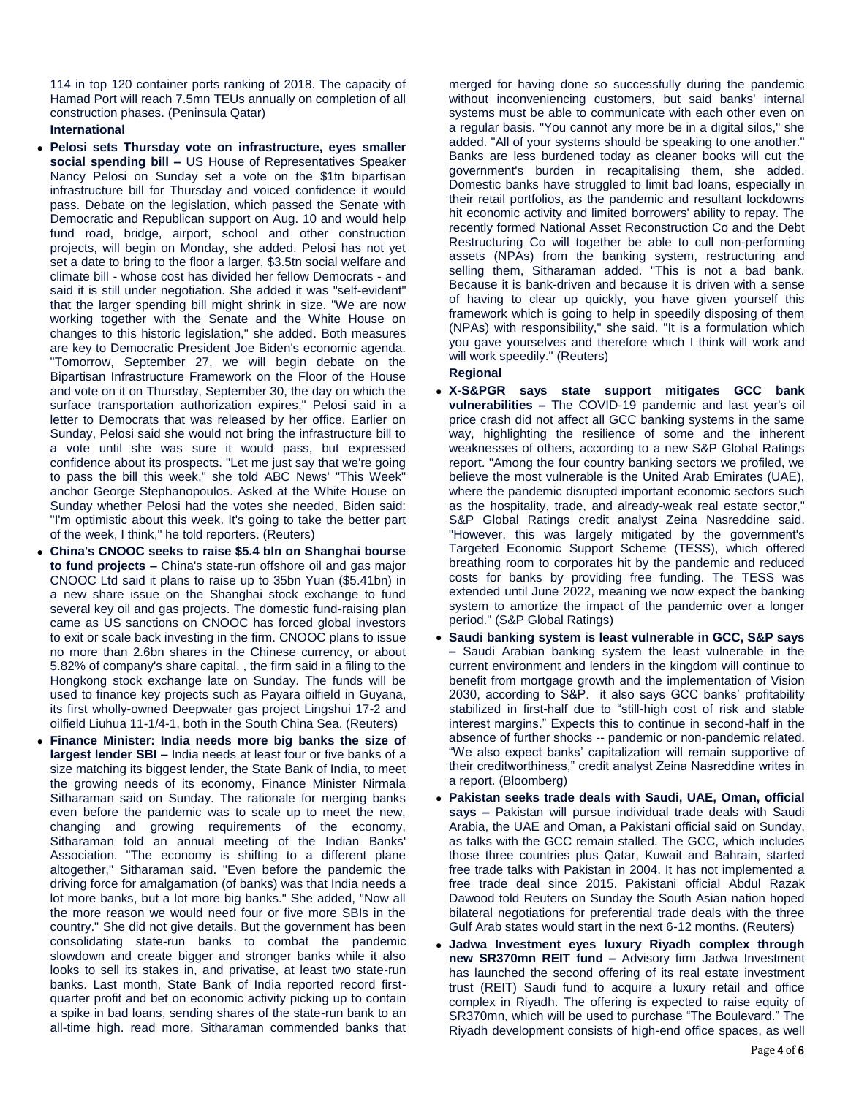114 in top 120 container ports ranking of 2018. The capacity of Hamad Port will reach 7.5mn TEUs annually on completion of all construction phases. (Peninsula Qatar)

# **International**

- **Pelosi sets Thursday vote on infrastructure, eyes smaller social spending bill –** US House of Representatives Speaker Nancy Pelosi on Sunday set a vote on the \$1tn bipartisan infrastructure bill for Thursday and voiced confidence it would pass. Debate on the legislation, which passed the Senate with Democratic and Republican support on Aug. 10 and would help fund road, bridge, airport, school and other construction projects, will begin on Monday, she added. Pelosi has not yet set a date to bring to the floor a larger, \$3.5tn social welfare and climate bill - whose cost has divided her fellow Democrats - and said it is still under negotiation. She added it was "self-evident" that the larger spending bill might shrink in size. "We are now working together with the Senate and the White House on changes to this historic legislation," she added. Both measures are key to Democratic President Joe Biden's economic agenda. "Tomorrow, September 27, we will begin debate on the Bipartisan Infrastructure Framework on the Floor of the House and vote on it on Thursday, September 30, the day on which the surface transportation authorization expires," Pelosi said in a letter to Democrats that was released by her office. Earlier on Sunday, Pelosi said she would not bring the infrastructure bill to a vote until she was sure it would pass, but expressed confidence about its prospects. "Let me just say that we're going to pass the bill this week," she told ABC News' "This Week" anchor George Stephanopoulos. Asked at the White House on Sunday whether Pelosi had the votes she needed, Biden said: "I'm optimistic about this week. It's going to take the better part of the week, I think," he told reporters. (Reuters)
- **China's CNOOC seeks to raise \$5.4 bln on Shanghai bourse to fund projects –** China's state-run offshore oil and gas major CNOOC Ltd said it plans to raise up to 35bn Yuan (\$5.41bn) in a new share issue on the Shanghai stock exchange to fund several key oil and gas projects. The domestic fund-raising plan came as US sanctions on CNOOC has forced global investors to exit or scale back investing in the firm. CNOOC plans to issue no more than 2.6bn shares in the Chinese currency, or about 5.82% of company's share capital. , the firm said in a filing to the Hongkong stock exchange late on Sunday. The funds will be used to finance key projects such as Payara oilfield in Guyana, its first wholly-owned Deepwater gas project Lingshui 17-2 and oilfield Liuhua 11-1/4-1, both in the South China Sea. (Reuters)
- **Finance Minister: India needs more big banks the size of largest lender SBI –** India needs at least four or five banks of a size matching its biggest lender, the State Bank of India, to meet the growing needs of its economy, Finance Minister Nirmala Sitharaman said on Sunday. The rationale for merging banks even before the pandemic was to scale up to meet the new, changing and growing requirements of the economy, Sitharaman told an annual meeting of the Indian Banks' Association. "The economy is shifting to a different plane altogether," Sitharaman said. "Even before the pandemic the driving force for amalgamation (of banks) was that India needs a lot more banks, but a lot more big banks." She added, "Now all the more reason we would need four or five more SBIs in the country." She did not give details. But the government has been consolidating state-run banks to combat the pandemic slowdown and create bigger and stronger banks while it also looks to sell its stakes in, and privatise, at least two state-run banks. Last month, State Bank of India reported record firstquarter profit and bet on economic activity picking up to contain a spike in bad loans, sending shares of the state-run bank to an all-time high. read more. Sitharaman commended banks that

merged for having done so successfully during the pandemic without inconveniencing customers, but said banks' internal systems must be able to communicate with each other even on a regular basis. "You cannot any more be in a digital silos," she added. "All of your systems should be speaking to one another." Banks are less burdened today as cleaner books will cut the government's burden in recapitalising them, she added. Domestic banks have struggled to limit bad loans, especially in their retail portfolios, as the pandemic and resultant lockdowns hit economic activity and limited borrowers' ability to repay. The recently formed National Asset Reconstruction Co and the Debt Restructuring Co will together be able to cull non-performing assets (NPAs) from the banking system, restructuring and selling them, Sitharaman added. "This is not a bad bank. Because it is bank-driven and because it is driven with a sense of having to clear up quickly, you have given yourself this framework which is going to help in speedily disposing of them (NPAs) with responsibility," she said. "It is a formulation which you gave yourselves and therefore which I think will work and will work speedily." (Reuters)

**Regional**

- **X-S&PGR says state support mitigates GCC bank vulnerabilities –** The COVID-19 pandemic and last year's oil price crash did not affect all GCC banking systems in the same way, highlighting the resilience of some and the inherent weaknesses of others, according to a new S&P Global Ratings report. "Among the four country banking sectors we profiled, we believe the most vulnerable is the United Arab Emirates (UAE), where the pandemic disrupted important economic sectors such as the hospitality, trade, and already-weak real estate sector," S&P Global Ratings credit analyst Zeina Nasreddine said. "However, this was largely mitigated by the government's Targeted Economic Support Scheme (TESS), which offered breathing room to corporates hit by the pandemic and reduced costs for banks by providing free funding. The TESS was extended until June 2022, meaning we now expect the banking system to amortize the impact of the pandemic over a longer period." (S&P Global Ratings)
- **Saudi banking system is least vulnerable in GCC, S&P says –** Saudi Arabian banking system the least vulnerable in the current environment and lenders in the kingdom will continue to benefit from mortgage growth and the implementation of Vision 2030, according to S&P. it also says GCC banks' profitability stabilized in first-half due to "still-high cost of risk and stable interest margins." Expects this to continue in second-half in the absence of further shocks -- pandemic or non-pandemic related. "We also expect banks' capitalization will remain supportive of their creditworthiness," credit analyst Zeina Nasreddine writes in a report. (Bloomberg)
- **Pakistan seeks trade deals with Saudi, UAE, Oman, official says –** Pakistan will pursue individual trade deals with Saudi Arabia, the UAE and Oman, a Pakistani official said on Sunday, as talks with the GCC remain stalled. The GCC, which includes those three countries plus Qatar, Kuwait and Bahrain, started free trade talks with Pakistan in 2004. It has not implemented a free trade deal since 2015. Pakistani official Abdul Razak Dawood told Reuters on Sunday the South Asian nation hoped bilateral negotiations for preferential trade deals with the three Gulf Arab states would start in the next 6-12 months. (Reuters)
- **Jadwa Investment eyes luxury Riyadh complex through new SR370mn REIT fund –** Advisory firm Jadwa Investment has launched the second offering of its real estate investment trust (REIT) Saudi fund to acquire a luxury retail and office complex in Riyadh. The offering is expected to raise equity of SR370mn, which will be used to purchase "The Boulevard." The Riyadh development consists of high-end office spaces, as well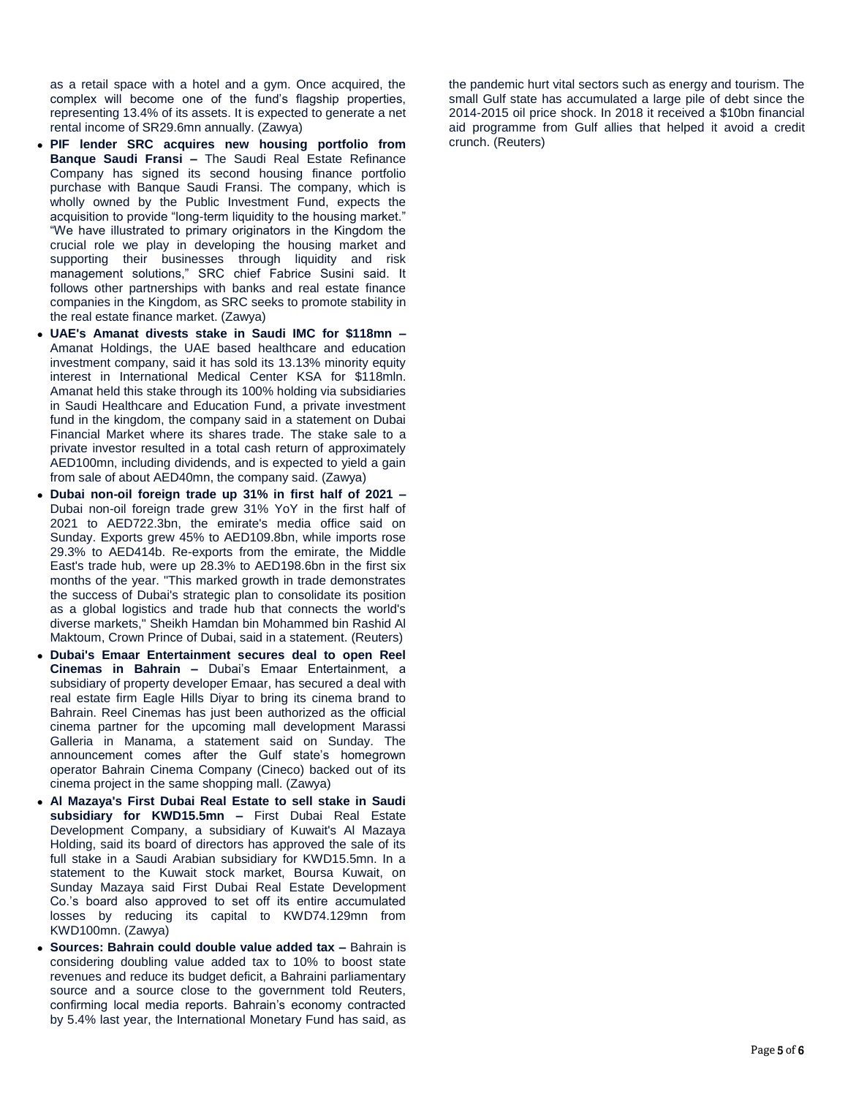as a retail space with a hotel and a gym. Once acquired, the complex will become one of the fund's flagship properties, representing 13.4% of its assets. It is expected to generate a net rental income of SR29.6mn annually. (Zawya)

- **PIF lender SRC acquires new housing portfolio from Banque Saudi Fransi –** The Saudi Real Estate Refinance Company has signed its second housing finance portfolio purchase with Banque Saudi Fransi. The company, which is wholly owned by the Public Investment Fund, expects the acquisition to provide "long-term liquidity to the housing market." "We have illustrated to primary originators in the Kingdom the crucial role we play in developing the housing market and supporting their businesses through liquidity and risk management solutions," SRC chief Fabrice Susini said. It follows other partnerships with banks and real estate finance companies in the Kingdom, as SRC seeks to promote stability in the real estate finance market. (Zawya)
- **UAE's Amanat divests stake in Saudi IMC for \$118mn –** Amanat Holdings, the UAE based healthcare and education investment company, said it has sold its 13.13% minority equity interest in International Medical Center KSA for \$118mln. Amanat held this stake through its 100% holding via subsidiaries in Saudi Healthcare and Education Fund, a private investment fund in the kingdom, the company said in a statement on Dubai Financial Market where its shares trade. The stake sale to a private investor resulted in a total cash return of approximately AED100mn, including dividends, and is expected to yield a gain from sale of about AED40mn, the company said. (Zawya)
- **Dubai non-oil foreign trade up 31% in first half of 2021 –** Dubai non-oil foreign trade grew 31% YoY in the first half of 2021 to AED722.3bn, the emirate's media office said on Sunday. Exports grew 45% to AED109.8bn, while imports rose 29.3% to AED414b. Re-exports from the emirate, the Middle East's trade hub, were up 28.3% to AED198.6bn in the first six months of the year. "This marked growth in trade demonstrates the success of Dubai's strategic plan to consolidate its position as a global logistics and trade hub that connects the world's diverse markets," Sheikh Hamdan bin Mohammed bin Rashid Al Maktoum, Crown Prince of Dubai, said in a statement. (Reuters)
- **Dubai's Emaar Entertainment secures deal to open Reel Cinemas in Bahrain –** Dubai's Emaar Entertainment, a subsidiary of property developer Emaar, has secured a deal with real estate firm Eagle Hills Diyar to bring its cinema brand to Bahrain. Reel Cinemas has just been authorized as the official cinema partner for the upcoming mall development Marassi Galleria in Manama, a statement said on Sunday. The announcement comes after the Gulf state's homegrown operator Bahrain Cinema Company (Cineco) backed out of its cinema project in the same shopping mall. (Zawya)
- **Al Mazaya's First Dubai Real Estate to sell stake in Saudi subsidiary for KWD15.5mn –** First Dubai Real Estate Development Company, a subsidiary of Kuwait's Al Mazaya Holding, said its board of directors has approved the sale of its full stake in a Saudi Arabian subsidiary for KWD15.5mn. In a statement to the Kuwait stock market, Boursa Kuwait, on Sunday Mazaya said First Dubai Real Estate Development Co.'s board also approved to set off its entire accumulated losses by reducing its capital to KWD74.129mn from KWD100mn. (Zawya)
- **Sources: Bahrain could double value added tax –** Bahrain is considering doubling value added tax to 10% to boost state revenues and reduce its budget deficit, a Bahraini parliamentary source and a source close to the government told Reuters, confirming local media reports. Bahrain's economy contracted by 5.4% last year, the International Monetary Fund has said, as

the pandemic hurt vital sectors such as energy and tourism. The small Gulf state has accumulated a large pile of debt since the 2014-2015 oil price shock. In 2018 it received a \$10bn financial aid programme from Gulf allies that helped it avoid a credit crunch. (Reuters)